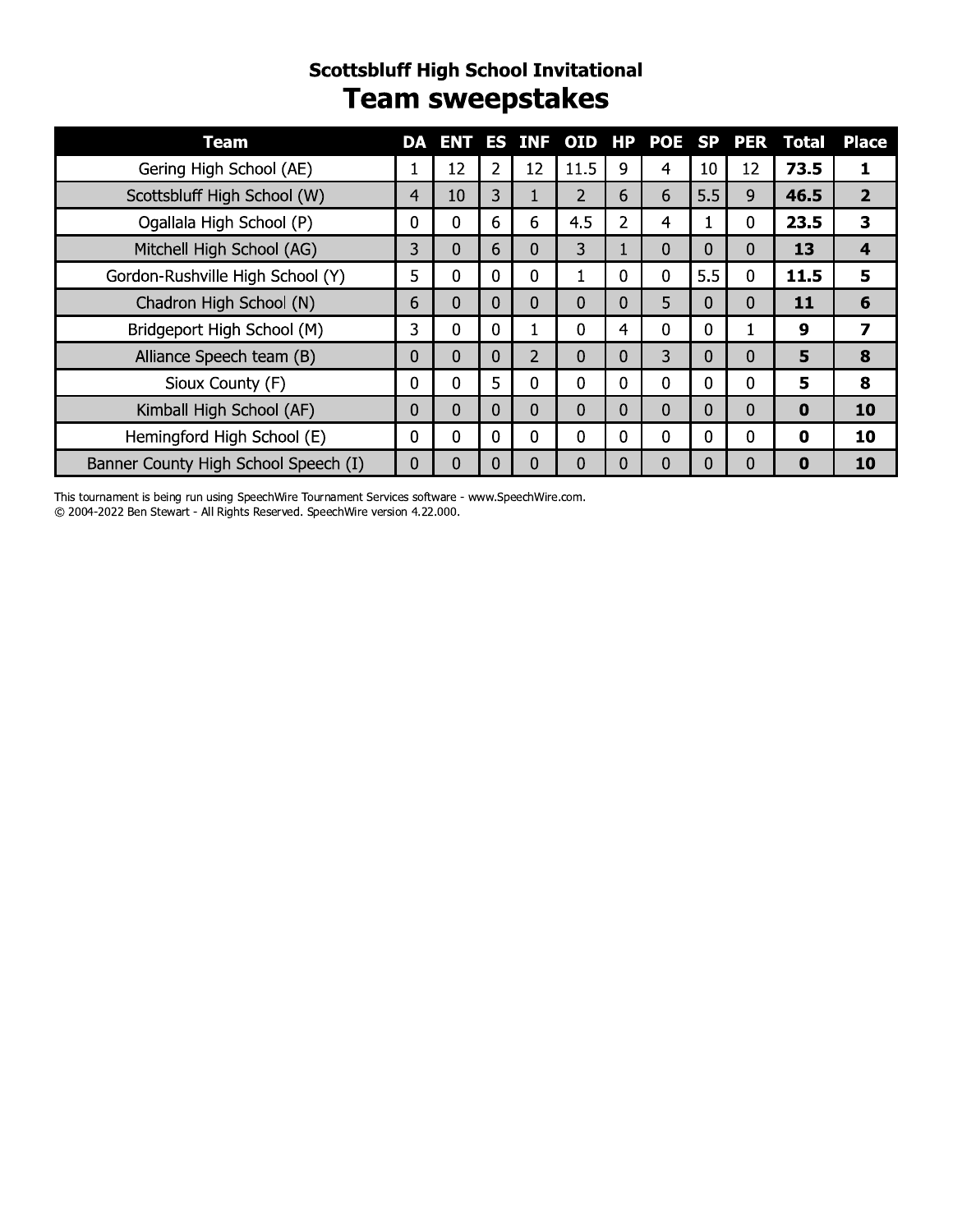#### **Scottsbluff High School Invitational Team sweepstakes**

| <b>Team</b>                          |          | <b>DA ENT</b> |   | <b>ES INF</b>  | OID HP         |                | POE SP PER |              |             | Total    | <b>Place</b>   |
|--------------------------------------|----------|---------------|---|----------------|----------------|----------------|------------|--------------|-------------|----------|----------------|
| Gering High School (AE)              |          | 12            | 2 | 12             | 11.5           | 9              | 4          | 10           | 12          | 73.5     |                |
| Scottsbluff High School (W)          | 4        | 10            | 3 |                | $\overline{2}$ | 6              | 6          | 5.5          | 9           | 46.5     | $\overline{2}$ |
| Ogallala High School (P)             | 0        | 0             | 6 | 6              | 4.5            | $\overline{2}$ | 4          |              | 0           | 23.5     | 3              |
| Mitchell High School (AG)            | 3        | $\Omega$      | 6 | $\Omega$       | 3              | $\mathbf{1}$   | 0          | 0            | 0           | 13       | 4              |
| Gordon-Rushville High School (Y)     | 5        | $\Omega$      | 0 | 0              |                | 0              | 0          | 5.5          | $\Omega$    | 11.5     | 5              |
| Chadron High School (N)              | 6        | $\Omega$      | 0 | $\Omega$       | $\Omega$       | 0              | 5          | 0            | 0           | 11       | 6              |
| Bridgeport High School (M)           | 3        | $\Omega$      | 0 |                | 0              | 4              | 0          | $\mathbf{0}$ |             | 9        | 7              |
| Alliance Speech team (B)             | 0        | $\Omega$      | 0 | $\overline{2}$ | $\mathbf{0}$   | 0              | 3          | 0            | 0           | 5        | 8              |
| Sioux County (F)                     | 0        | 0             | 5 | 0              | $\mathbf 0$    | 0              | 0          | $\mathbf{0}$ | 0           | 5        | 8              |
| Kimball High School (AF)             | 0        | 0             | 0 | $\Omega$       | 0              | 0              | 0          | 0            | 0           | $\bf{0}$ | 10             |
| Hemingford High School (E)           | $\Omega$ | $\mathbf 0$   | 0 | 0              | 0              | 0              | 0          | $\mathbf{0}$ | $\mathbf 0$ | 0        | 10             |
| Banner County High School Speech (I) | 0        | 0             | 0 | 0              | 0              | 0              | 0          | 0            | 0           | $\bf{0}$ | 10             |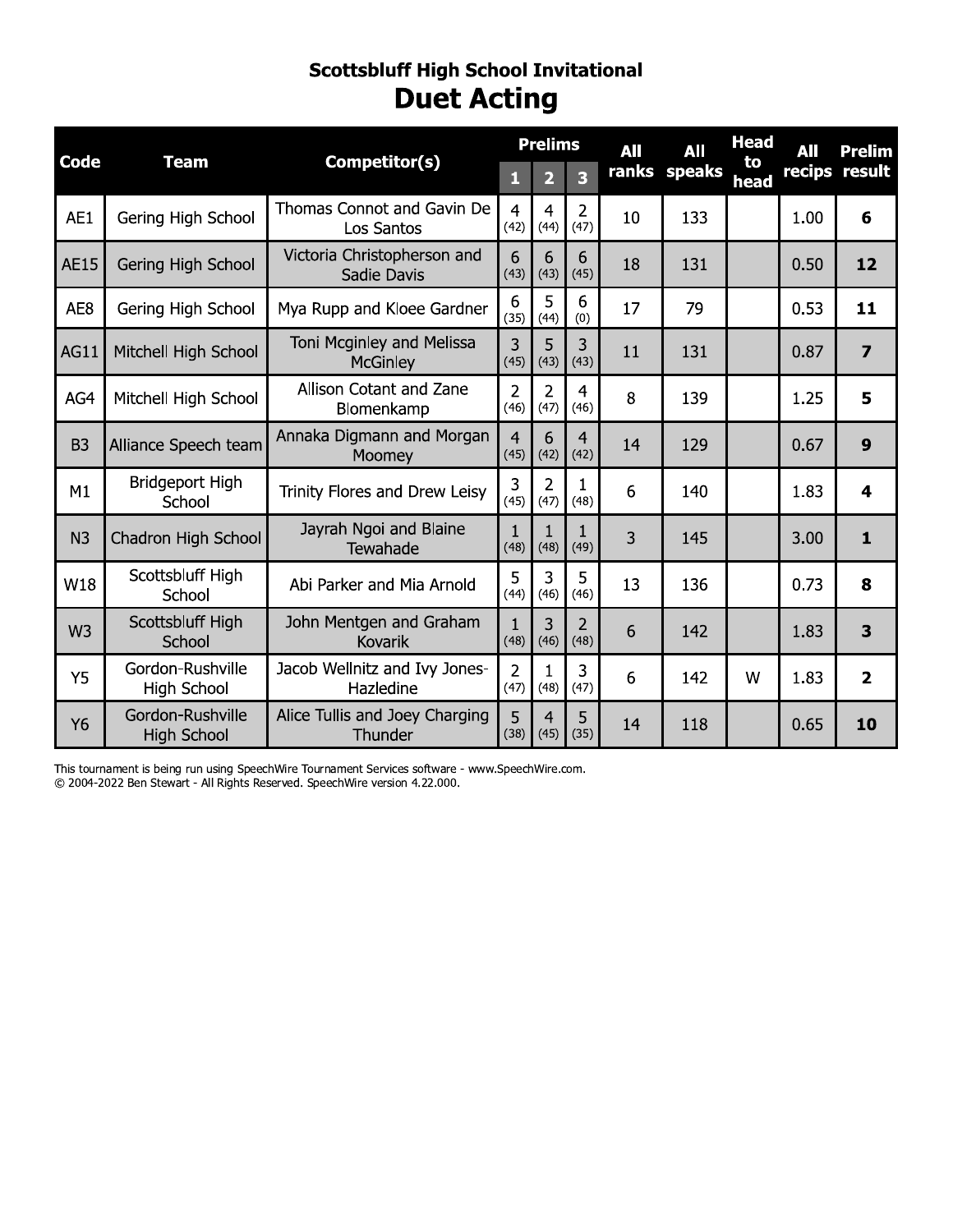#### **Scottsbluff High School Invitational Duet Acting**

| Competitor(s)<br><b>Code</b><br><b>Team</b> |                                        |                                              | <b>Prelims</b>         |                        | All                     | All | <b>Head</b>  | <b>All</b> | <b>Prelim</b> |                         |
|---------------------------------------------|----------------------------------------|----------------------------------------------|------------------------|------------------------|-------------------------|-----|--------------|------------|---------------|-------------------------|
|                                             |                                        |                                              | П                      | $\overline{2}$         | $\overline{\mathbf{3}}$ |     | ranks speaks | to<br>head |               | recips result           |
| AE1                                         | Gering High School                     | Thomas Connot and Gavin De<br>Los Santos     | $\overline{4}$<br>(42) | $\overline{4}$<br>(44) | $\overline{2}$<br>(47)  | 10  | 133          |            | 1.00          | 6                       |
| <b>AE15</b>                                 | Gering High School                     | Victoria Christopherson and<br>Sadie Davis   | 6<br>(43)              | 6<br>(43)              | 6<br>(45)               | 18  | 131          |            | 0.50          | 12                      |
| AE8                                         | Gering High School                     | Mya Rupp and Kloee Gardner                   | 6<br>(35)              | 5<br>(44)              | 6<br>(0)                | 17  | 79           |            | 0.53          | 11                      |
| <b>AG11</b>                                 | Mitchell High School                   | Toni Mcginley and Melissa<br><b>McGinley</b> | 3<br>(45)              | 5<br>(43)              | 3<br>(43)               | 11  | 131          |            | 0.87          | $\overline{\mathbf{z}}$ |
| AG4                                         | Mitchell High School                   | Allison Cotant and Zane<br>Blomenkamp        | $\overline{2}$<br>(46) | $\overline{2}$<br>(47) | $\overline{4}$<br>(46)  | 8   | 139          |            | 1.25          | 5                       |
| B <sub>3</sub>                              | Alliance Speech team                   | Annaka Digmann and Morgan<br>Moomey          | $\overline{4}$<br>(45) | 6<br>(42)              | $\overline{4}$<br>(42)  | 14  | 129          |            | 0.67          | 9                       |
| M1                                          | Bridgeport High<br>School              | Trinity Flores and Drew Leisy                | $\overline{3}$<br>(45) | $\overline{2}$<br>(47) | 1<br>(48)               | 6   | 140          |            | 1.83          | 4                       |
| N <sub>3</sub>                              | Chadron High School                    | Jayrah Ngoi and Blaine<br>Tewahade           | $\mathbf{1}$<br>(48)   | $\mathbf{1}$<br>(48)   | 1<br>(49)               | 3   | 145          |            | 3.00          | $\mathbf{1}$            |
| W18                                         | Scottsbluff High<br>School             | Abi Parker and Mia Arnold                    | 5<br>(44)              | 3<br>(46)              | 5<br>(46)               | 13  | 136          |            | 0.73          | 8                       |
| W <sub>3</sub>                              | Scottsbluff High<br>School             | John Mentgen and Graham<br><b>Kovarik</b>    | $\mathbf{1}$<br>(48)   | 3<br>(46)              | $\overline{2}$<br>(48)  | 6   | 142          |            | 1.83          | 3                       |
| Y5                                          | Gordon-Rushville<br>High School        | Jacob Wellnitz and Ivy Jones-<br>Hazledine   | $\overline{2}$<br>(47) | 1<br>(48)              | 3<br>(47)               | 6   | 142          | W          | 1.83          | $\overline{2}$          |
| Y6                                          | Gordon-Rushville<br><b>High School</b> | Alice Tullis and Joey Charging<br>Thunder    | 5<br>(38)              | $\overline{4}$<br>(45) | 5<br>(35)               | 14  | 118          |            | 0.65          | 10                      |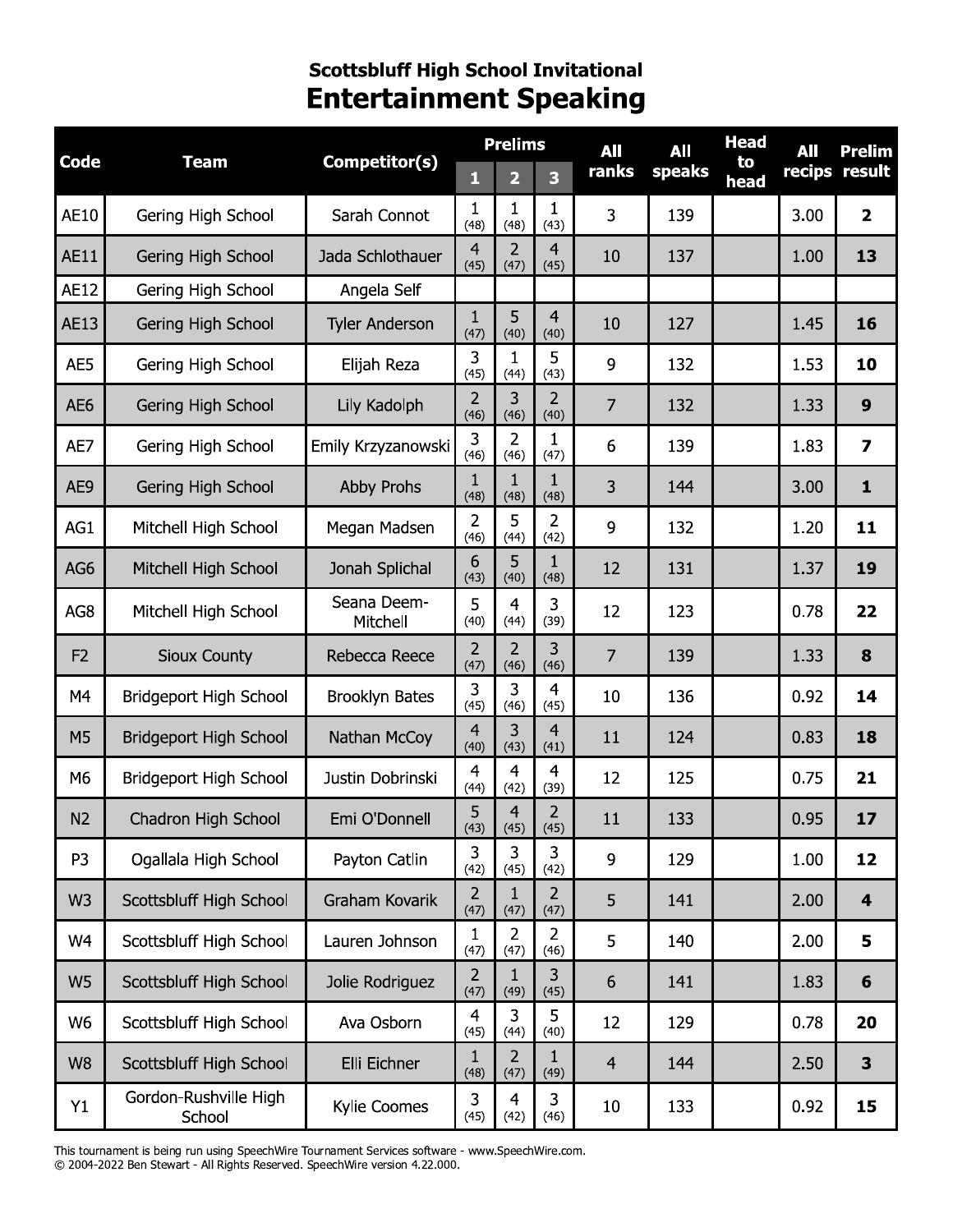# Scottsbluff High School Invitational<br>Entertainment Speaking

|                 |                                 |                         | <b>Prelims</b>         |                        |                         | All            | All    | <b>Head</b> | All    | <b>Prelim</b>           |
|-----------------|---------------------------------|-------------------------|------------------------|------------------------|-------------------------|----------------|--------|-------------|--------|-------------------------|
| <b>Code</b>     | <b>Team</b>                     | Competitor(s)           | 1                      | 2                      | $\overline{\mathbf{3}}$ | ranks          | speaks | to<br>head  | recips | result                  |
| <b>AE10</b>     | Gering High School              | Sarah Connot            | $\mathbf{1}$<br>(48)   | 1<br>(48)              | 1<br>(43)               | 3              | 139    |             | 3.00   | $\overline{\mathbf{2}}$ |
| <b>AE11</b>     | Gering High School              | Jada Schlothauer        | $\overline{4}$<br>(45) | $\overline{2}$<br>(47) | $\overline{4}$<br>(45)  | 10             | 137    |             | 1.00   | 13                      |
| <b>AE12</b>     | Gering High School              | Angela Self             |                        |                        |                         |                |        |             |        |                         |
| AE13            | Gering High School              | <b>Tyler Anderson</b>   | $\mathbf{1}$<br>(47)   | 5<br>(40)              | 4<br>(40)               | 10             | 127    |             | 1.45   | 16                      |
| AE5             | Gering High School              | Elijah Reza             | 3<br>(45)              | 1<br>(44)              | 5<br>(43)               | 9              | 132    |             | 1.53   | 10                      |
| AE <sub>6</sub> | Gering High School              | Lily Kadolph            | 2<br>(46)              | 3<br>(46)              | 2<br>(40)               | 7              | 132    |             | 1.33   | 9                       |
| AE7             | Gering High School              | Emily Krzyzanowski      | 3<br>(46)              | $\overline{2}$<br>(46) | 1<br>(47)               | 6              | 139    |             | 1.83   | $\overline{\mathbf{z}}$ |
| AE9             | Gering High School              | <b>Abby Prohs</b>       | 1<br>(48)              | $\mathbf{1}$<br>(48)   | 1<br>(48)               | 3              | 144    |             | 3.00   | $\mathbf{1}$            |
| AG1             | Mitchell High School            | Megan Madsen            | $\overline{2}$<br>(46) | 5<br>(44)              | 2<br>(42)               | 9              | 132    |             | 1.20   | 11                      |
| AG6             | Mitchell High School            | Jonah Splichal          | 6<br>(43)              | 5<br>(40)              | 1<br>(48)               | 12             | 131    |             | 1.37   | 19                      |
| AG8             | Mitchell High School            | Seana Deem-<br>Mitchell | 5<br>(40)              | $\overline{4}$<br>(44) | 3<br>(39)               | 12             | 123    |             | 0.78   | 22                      |
| F <sub>2</sub>  | <b>Sioux County</b>             | Rebecca Reece           | 2<br>(47)              | 2<br>(46)              | 3<br>(46)               | 7              | 139    |             | 1.33   | 8                       |
| M4              | Bridgeport High School          | <b>Brooklyn Bates</b>   | 3<br>(45)              | 3<br>(46)              | 4<br>(45)               | 10             | 136    |             | 0.92   | 14                      |
| M5              | <b>Bridgeport High School</b>   | Nathan McCoy            | 4<br>(40)              | 3<br>(43)              | 4<br>(41)               | 11             | 124    |             | 0.83   | 18                      |
| M <sub>6</sub>  | Bridgeport High School          | Justin Dobrinski        | 4<br>(44)              | $\overline{4}$<br>(42) | 4<br>(39)               | 12             | 125    |             | 0.75   | 21                      |
| N <sub>2</sub>  | <b>Chadron High School</b>      | Emi O'Donnell           | 5<br>(43)              | 4<br>(45)              | 2<br>(45)               | 11             | 133    |             | 0.95   | 17                      |
| P <sub>3</sub>  | Ogallala High School            | Payton Catlin           | 3<br>(42)              | 3<br>(45)              | 3<br>(42)               | 9              | 129    |             | 1.00   | 12                      |
| W <sub>3</sub>  | Scottsbluff High School         | Graham Kovarik          | $\overline{2}$<br>(47) | $\mathbf{1}$<br>(47)   | $\overline{2}$<br>(47)  | 5              | 141    |             | 2.00   | $\overline{\mathbf{4}}$ |
| W4              | Scottsbluff High School         | Lauren Johnson          | $\mathbf{1}$<br>(47)   | $\overline{2}$<br>(47) | $\overline{2}$<br>(46)  | 5              | 140    |             | 2.00   | 5                       |
| W <sub>5</sub>  | Scottsbluff High School         | Jolie Rodriguez         | $\overline{2}$<br>(47) | 1<br>(49)              | 3<br>(45)               | 6              | 141    |             | 1.83   | 6                       |
| W6              | Scottsbluff High School         | Ava Osborn              | $\overline{4}$<br>(45) | $\overline{3}$<br>(44) | 5<br>(40)               | 12             | 129    |             | 0.78   | 20                      |
| W <sub>8</sub>  | Scottsbluff High School         | Elli Eichner            | $\mathbf{1}$<br>(48)   | $\overline{2}$<br>(47) | 1<br>(49)               | $\overline{4}$ | 144    |             | 2.50   | $\mathbf{3}$            |
| Y1              | Gordon-Rushville High<br>School | Kylie Coomes            | 3<br>(45)              | $\overline{4}$<br>(42) | 3<br>(46)               | 10             | 133    |             | 0.92   | 15                      |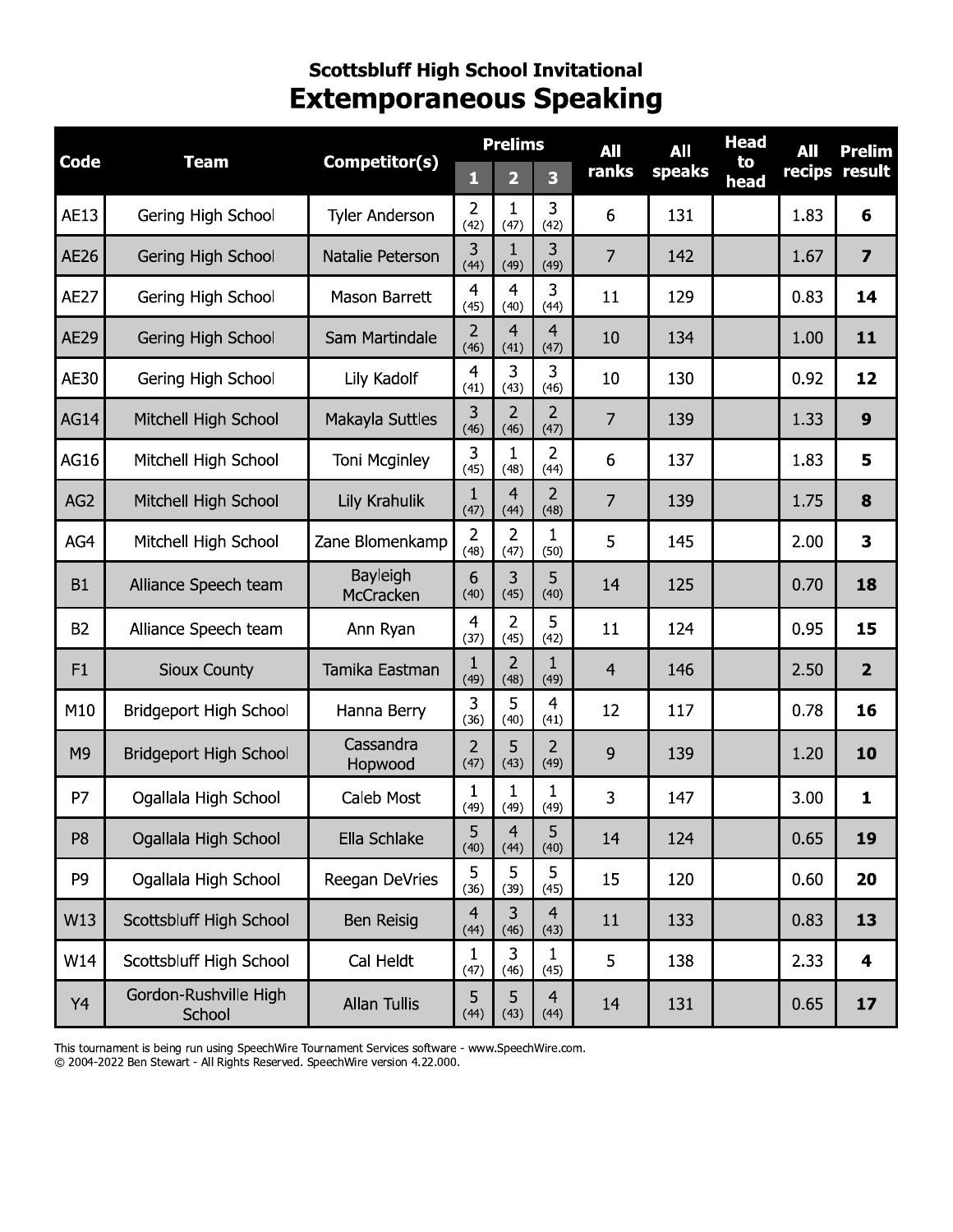#### **Scottsbluff High School Invitational Extemporaneous Speaking**

|                 | Competitor(s)<br>Code<br><b>Team</b> |                       | <b>Prelims</b>         |                         |                        | All            | All    | <b>Head</b> | All  | <b>Prelim</b>           |
|-----------------|--------------------------------------|-----------------------|------------------------|-------------------------|------------------------|----------------|--------|-------------|------|-------------------------|
|                 |                                      |                       | 1                      | $\overline{\mathbf{2}}$ | 3                      | ranks          | speaks | to<br>head  |      | recips result           |
| AE13            | Gering High School                   | <b>Tyler Anderson</b> | 2<br>(42)              | 1<br>(47)               | 3<br>(42)              | 6              | 131    |             | 1.83 | 6                       |
| AE26            | Gering High School                   | Natalie Peterson      | 3<br>(44)              | $\mathbf{1}$<br>(49)    | 3<br>(49)              | $\overline{7}$ | 142    |             | 1.67 | $\overline{\mathbf{z}}$ |
| <b>AE27</b>     | Gering High School                   | Mason Barrett         | $\overline{4}$<br>(45) | $\overline{4}$<br>(40)  | 3<br>(44)              | 11             | 129    |             | 0.83 | 14                      |
| <b>AE29</b>     | Gering High School                   | Sam Martindale        | 2<br>(46)              | 4<br>(41)               | 4<br>(47)              | 10             | 134    |             | 1.00 | 11                      |
| AE30            | Gering High School                   | Lily Kadolf           | $\overline{4}$<br>(41) | 3<br>(43)               | 3<br>(46)              | 10             | 130    |             | 0.92 | 12                      |
| <b>AG14</b>     | Mitchell High School                 | Makayla Suttles       | 3<br>(46)              | $\overline{2}$<br>(46)  | $\overline{2}$<br>(47) | $\overline{7}$ | 139    |             | 1.33 | 9                       |
| AG16            | Mitchell High School                 | Toni Mcginley         | 3<br>(45)              | $\mathbf{1}$<br>(48)    | $\overline{2}$<br>(44) | 6              | 137    |             | 1.83 | 5                       |
| AG <sub>2</sub> | Mitchell High School                 | Lily Krahulik         | 1<br>(47)              | $\overline{4}$<br>(44)  | $\overline{2}$<br>(48) | 7              | 139    |             | 1.75 | 8                       |
| AG4             | Mitchell High School                 | Zane Blomenkamp       | $\overline{2}$<br>(48) | $\overline{2}$<br>(47)  | 1<br>(50)              | 5              | 145    |             | 2.00 | 3                       |
| <b>B1</b>       | Alliance Speech team                 | Bayleigh<br>McCracken | 6<br>(40)              | 3<br>(45)               | 5<br>(40)              | 14             | 125    |             | 0.70 | 18                      |
| <b>B2</b>       | Alliance Speech team                 | Ann Ryan              | $\overline{4}$<br>(37) | $\overline{2}$<br>(45)  | 5<br>(42)              | 11             | 124    |             | 0.95 | 15                      |
| F1              | <b>Sioux County</b>                  | Tamika Eastman        | $\mathbf{1}$<br>(49)   | $\overline{2}$<br>(48)  | 1<br>(49)              | $\overline{4}$ | 146    |             | 2.50 | $\overline{2}$          |
| M10             | Bridgeport High School               | Hanna Berry           | 3<br>(36)              | 5<br>(40)               | $\overline{4}$<br>(41) | 12             | 117    |             | 0.78 | 16                      |
| M <sub>9</sub>  | <b>Bridgeport High School</b>        | Cassandra<br>Hopwood  | $\overline{2}$<br>(47) | 5<br>(43)               | $\overline{2}$<br>(49) | 9              | 139    |             | 1.20 | 10                      |
| P7              | Ogallala High School                 | <b>Caleb Most</b>     | $\mathbf{1}$<br>(49)   | 1<br>(49)               | 1<br>(49)              | 3              | 147    |             | 3.00 | 1                       |
| P <sub>8</sub>  | Ogallala High School                 | Ella Schlake          | 5<br>(40)              | 4<br>(44)               | כ<br>(40)              | 14             | 124    |             | 0.65 | 19                      |
| P <sub>9</sub>  | Ogallala High School                 | Reegan DeVries        | 5<br>(36)              | 5<br>(39)               | 5<br>(45)              | 15             | 120    |             | 0.60 | 20                      |
| W13             | Scottsbluff High School              | Ben Reisig            | $\overline{4}$<br>(44) | 3<br>(46)               | $\overline{4}$<br>(43) | 11             | 133    |             | 0.83 | 13                      |
| W14             | Scottsbluff High School              | Cal Heldt             | 1<br>(47)              | 3<br>(46)               | 1<br>(45)              | 5              | 138    |             | 2.33 | 4                       |
| Y4              | Gordon-Rushville High<br>School      | Allan Tullis          | 5<br>(44)              | 5<br>(43)               | $\overline{4}$<br>(44) | 14             | 131    |             | 0.65 | 17                      |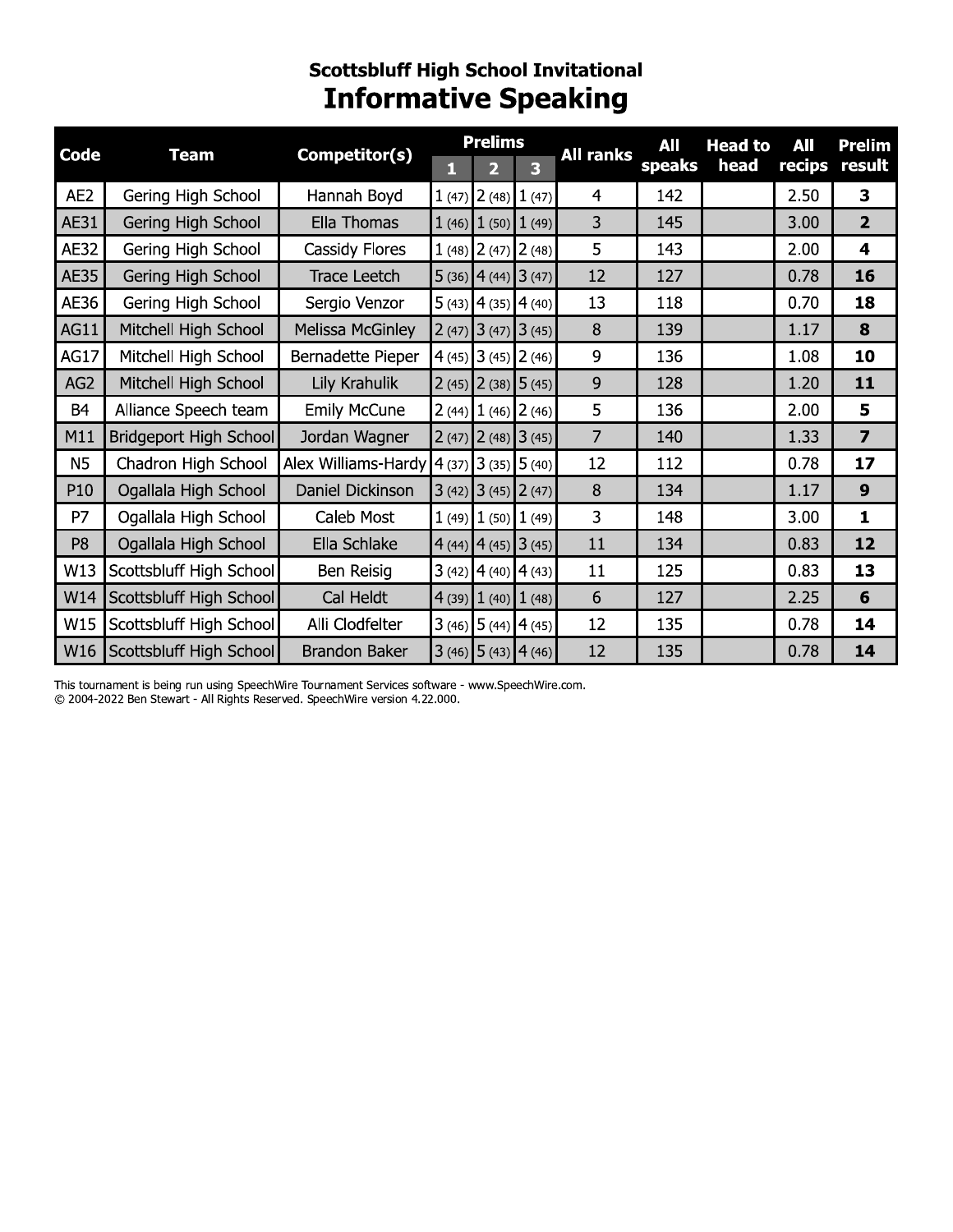### **Scottsbluff High School Invitational<br>Informative Speaking**

| <b>Code</b>     | <b>Team</b>             | Competitor(s)                                                                       |       | <b>Prelims</b>            |                | <b>All ranks</b> | All    | <b>Head to</b> | All    | Prelim                  |
|-----------------|-------------------------|-------------------------------------------------------------------------------------|-------|---------------------------|----------------|------------------|--------|----------------|--------|-------------------------|
|                 |                         |                                                                                     | П     |                           | 3              |                  | speaks | head           | recips | result                  |
| AE <sub>2</sub> | Gering High School      | Hannah Boyd                                                                         | 1(47) |                           | $2(48)$ 1 (47) | 4                | 142    |                | 2.50   | 3                       |
| AE31            | Gering High School      | Ella Thomas                                                                         |       | $1(46)$ $1(50)$ $1(49)$   |                | 3                | 145    |                | 3.00   | $\overline{2}$          |
| <b>AE32</b>     | Gering High School      | Cassidy Flores                                                                      |       | $1(48)$ $2(47)$ $2(48)$   |                | 5                | 143    |                | 2.00   | $\overline{\mathbf{4}}$ |
| <b>AE35</b>     | Gering High School      | Trace Leetch                                                                        |       | $5(36)$ 4 (44) 3 (47)     |                | 12               | 127    |                | 0.78   | 16                      |
| AE36            | Gering High School      | Sergio Venzor                                                                       |       | $5(43)$ 4 (35) 4 (40)     |                | 13               | 118    |                | 0.70   | 18                      |
| <b>AG11</b>     | Mitchell High School    | Melissa McGinley                                                                    |       | $2(47)$ 3 (47) 3 (45)     |                | 8                | 139    |                | 1.17   | 8                       |
| <b>AG17</b>     | Mitchell High School    | Bernadette Pieper                                                                   |       | $4(45)$ 3 (45) 2 (46)     |                | 9                | 136    |                | 1.08   | 10                      |
| AG <sub>2</sub> | Mitchell High School    | Lily Krahulik                                                                       |       | $2(45)$ $2(38)$ $5(45)$   |                | 9                | 128    |                | 1.20   | 11                      |
| <b>B4</b>       | Alliance Speech team    | <b>Emily McCune</b>                                                                 |       | $2(44)$ $1(46)$ $2(46)$   |                | 5                | 136    |                | 2.00   | 5                       |
| M11             | Bridgeport High School  | Jordan Wagner                                                                       |       | $2(47)$ $2(48)$ $3(45)$   |                | $\overline{7}$   | 140    |                | 1.33   | $\overline{7}$          |
| N <sub>5</sub>  | Chadron High School     | Alex Williams-Hardy $(4 \text{ (37)} \,   \, 3 \text{ (35)} \,   \, 5 \text{ (40)}$ |       |                           |                | 12               | 112    |                | 0.78   | 17                      |
| P10             | Ogallala High School    | Daniel Dickinson                                                                    |       | $3(42)$ $3(45)$ $2(47)$   |                | 8                | 134    |                | 1.17   | 9                       |
| P7              | Ogallala High School    | Caleb Most                                                                          |       | $1(49)$ $1(50)$ $1(49)$   |                | 3                | 148    |                | 3.00   | $\mathbf{1}$            |
| P <sub>8</sub>  | Ogallala High School    | Ella Schlake                                                                        |       | $4(44)$ $ 4(45)$ $ 3(45)$ |                | 11               | 134    |                | 0.83   | 12                      |
| W13             | Scottsbluff High School | Ben Reisig                                                                          |       | $3(42)$ 4 (40) 4 (43)     |                | 11               | 125    |                | 0.83   | 13                      |
| W14             | Scottsbluff High School | Cal Heldt                                                                           |       | $4(39)$ $1(40)$ $1(48)$   |                | 6                | 127    |                | 2.25   | 6                       |
| W15             | Scottsbluff High School | Alli Clodfelter                                                                     |       | $3(46)$ 5 (44) 4 (45)     |                | 12               | 135    |                | 0.78   | 14                      |
| W16             | Scottsbluff High School | <b>Brandon Baker</b>                                                                |       | $3(46)$ 5 (43) 4 (46)     |                | 12               | 135    |                | 0.78   | 14                      |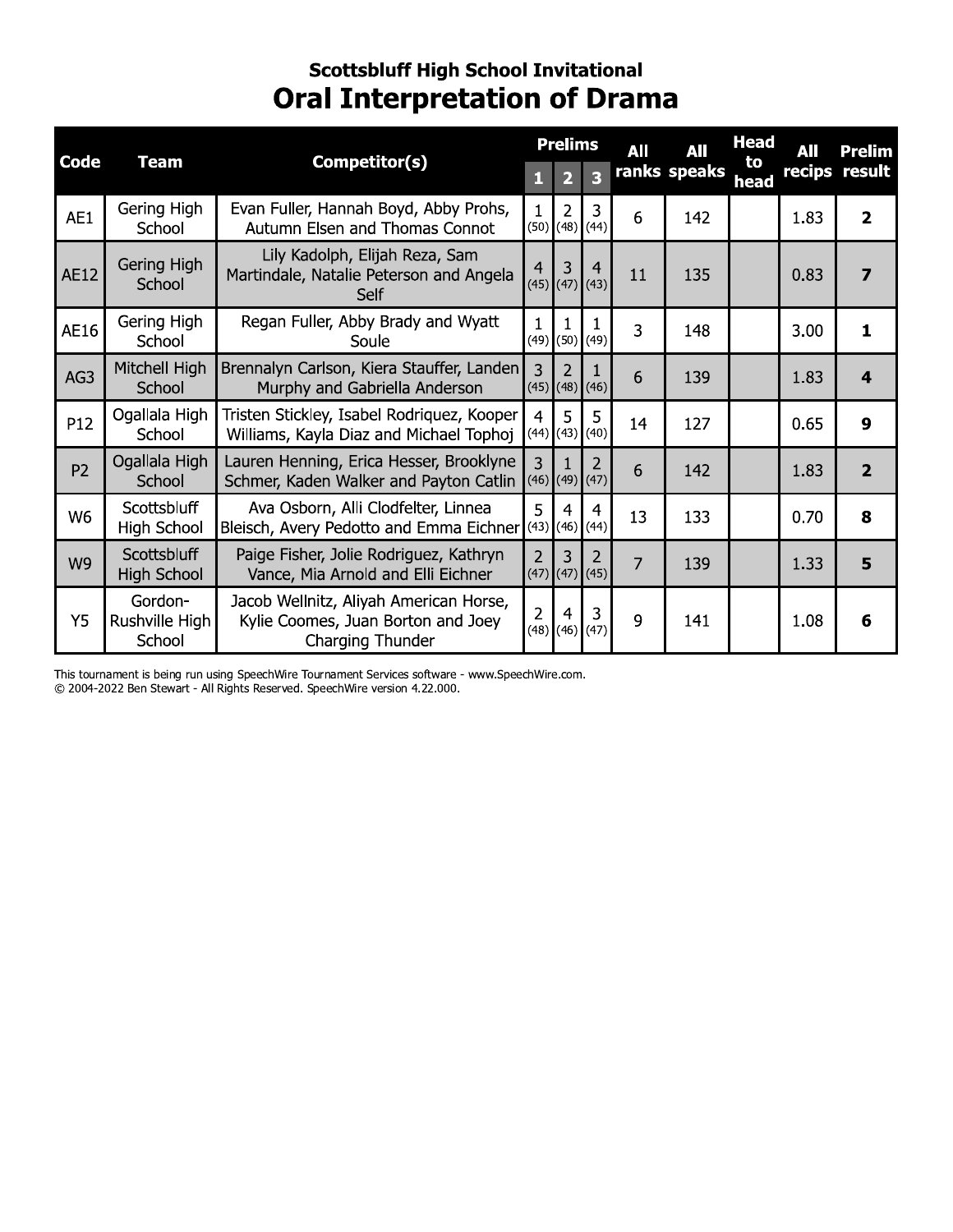#### **Scottsbluff High School Invitational Oral Interpretation of Drama**

| Competitor(s)<br><b>Code</b><br><b>Team</b> |                                          | <b>Prelims</b><br>All                                                                            |                        | All                       | <b>Head</b>             | All | Prelim       |            |      |                         |
|---------------------------------------------|------------------------------------------|--------------------------------------------------------------------------------------------------|------------------------|---------------------------|-------------------------|-----|--------------|------------|------|-------------------------|
|                                             |                                          |                                                                                                  | Ы                      | 2                         | $\overline{\mathbf{z}}$ |     | ranks speaks | to<br>head |      | recips result           |
| AE1                                         | Gering High<br>School                    | Evan Fuller, Hannah Boyd, Abby Prohs,<br>Autumn Elsen and Thomas Connot                          | (50)                   | $\overline{2}$<br>(48)    | 3<br>(44)               | 6   | 142          |            | 1.83 | $\overline{2}$          |
| AE12                                        | Gering High<br>School                    | Lily Kadolph, Elijah Reza, Sam<br>Martindale, Natalie Peterson and Angela<br>Self                | 4                      | 3<br>$(45)$ $(47)$ $(43)$ | $\overline{4}$          | 11  | 135          |            | 0.83 | $\overline{\mathbf{z}}$ |
| AE16                                        | Gering High<br>School                    | Regan Fuller, Abby Brady and Wyatt<br>Soule                                                      | (49)                   | 1<br>(50)                 | (49)                    | 3   | 148          |            | 3.00 | $\blacksquare$          |
| AG3                                         | Mitchell High<br>School                  | Brennalyn Carlson, Kiera Stauffer, Landen<br>Murphy and Gabriella Anderson                       | $\mathbf{R}$           | 2<br>$(45)$ (48) (46)     |                         | 6   | 139          |            | 1.83 | 4                       |
| P12                                         | Ogallala High<br>School                  | Tristen Stickley, Isabel Rodriquez, Kooper<br>Williams, Kayla Diaz and Michael Tophoj            | $\overline{4}$         | 5<br>$(44)$ (43)          | 5<br>(40)               | 14  | 127          |            | 0.65 | $\boldsymbol{9}$        |
| P <sub>2</sub>                              | Ogallala High<br>School                  | Lauren Henning, Erica Hesser, Brooklyne<br>Schmer, Kaden Walker and Payton Catlin                | 3                      | $(46)$ (49) (47)          | 2                       | 6   | 142          |            | 1.83 | $\overline{2}$          |
| W <sub>6</sub>                              | Scottsbluff<br><b>High School</b>        | Ava Osborn, Alli Clodfelter, Linnea<br>Bleisch, Avery Pedotto and Emma Eichner (43)              | 5                      | 4<br>(46)                 | 4<br>(44)               | 13  | 133          |            | 0.70 | 8                       |
| W <sub>9</sub>                              | <b>Scottsbluff</b><br><b>High School</b> | Paige Fisher, Jolie Rodriguez, Kathryn<br>Vance, Mia Arnold and Elli Eichner                     | $\overline{2}$         | 3<br>$(47)$ (47) (45)     | $\overline{2}$          | 7   | 139          |            | 1.33 | 5                       |
| <b>Y5</b>                                   | Gordon-<br>Rushville High<br>School      | Jacob Wellnitz, Aliyah American Horse,<br>Kylie Coomes, Juan Borton and Joey<br>Charging Thunder | $\overline{2}$<br>(48) | 4<br>(46)                 | 3<br>(47)               | 9   | 141          |            | 1.08 | 6                       |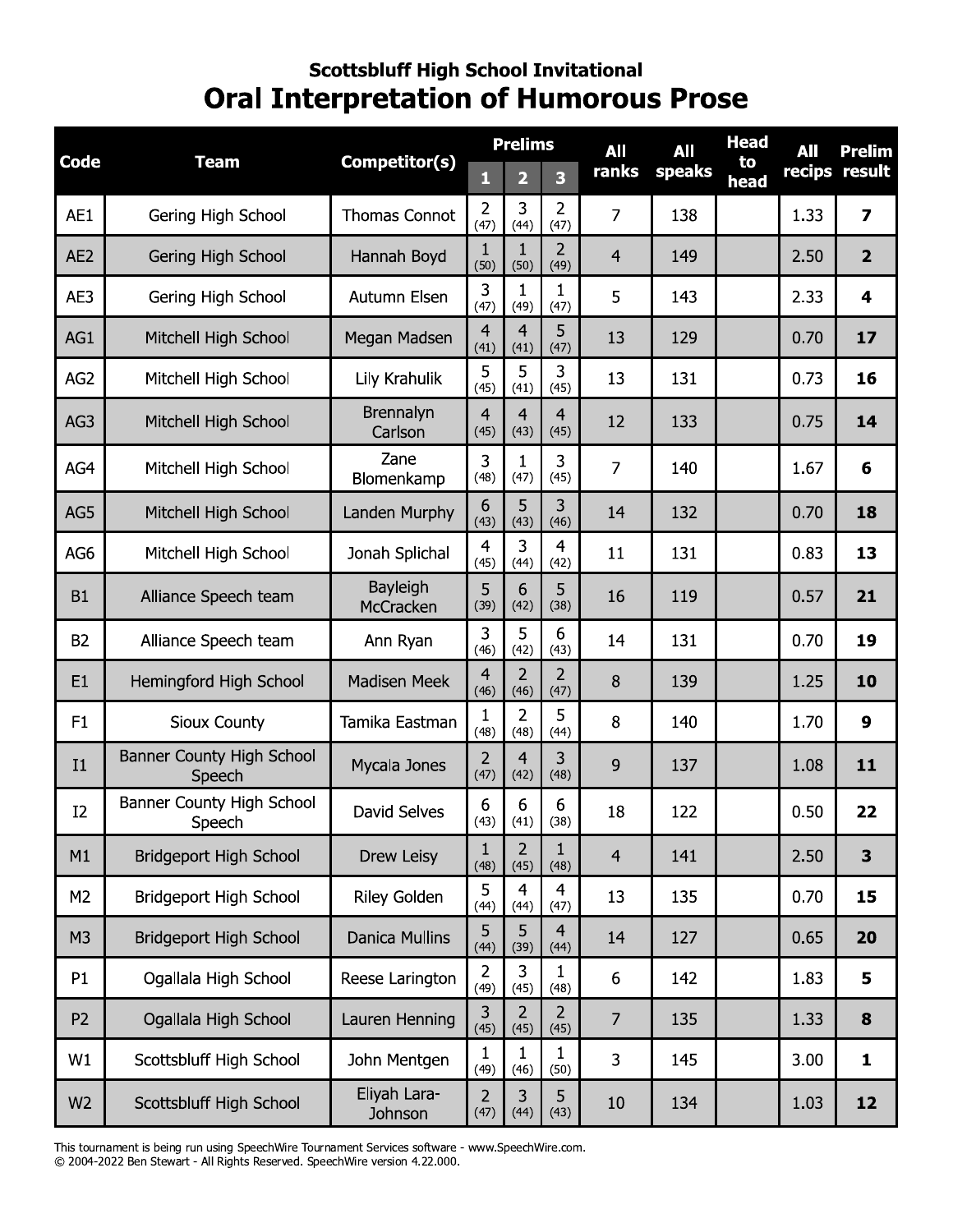#### **Scottsbluff High School Invitational Oral Interpretation of Humorous Prose**

|                 | <b>Team</b>                                |                             | <b>Prelims</b>         |                         |                        | All            | All    | <b>Head</b> | All  | <b>Prelim</b>           |
|-----------------|--------------------------------------------|-----------------------------|------------------------|-------------------------|------------------------|----------------|--------|-------------|------|-------------------------|
| Code            |                                            | Competitor(s)               | 1                      | $\overline{\mathbf{2}}$ | 3                      | ranks          | speaks | to<br>head  |      | recips result           |
| AE1             | Gering High School                         | <b>Thomas Connot</b>        | 2<br>(47)              | 3<br>(44)               | $\overline{2}$<br>(47) | $\overline{7}$ | 138    |             | 1.33 | $\overline{\mathbf{z}}$ |
| AE <sub>2</sub> | Gering High School                         | Hannah Boyd                 | $\mathbf{1}$<br>(50)   | $\mathbf{1}$<br>(50)    | $\overline{2}$<br>(49) | $\overline{4}$ | 149    |             | 2.50 | $\overline{\mathbf{2}}$ |
| AE3             | Gering High School                         | Autumn Elsen                | 3<br>(47)              | 1<br>(49)               | $\mathbf{1}$<br>(47)   | 5              | 143    |             | 2.33 | $\overline{\mathbf{4}}$ |
| AG1             | Mitchell High School                       | Megan Madsen                | $\overline{4}$<br>(41) | 4<br>(41)               | 5<br>(47)              | 13             | 129    |             | 0.70 | 17                      |
| AG2             | Mitchell High School                       | Lily Krahulik               | 5<br>(45)              | 5<br>(41)               | 3<br>(45)              | 13             | 131    |             | 0.73 | 16                      |
| AG3             | Mitchell High School                       | <b>Brennalyn</b><br>Carlson | 4<br>(45)              | 4<br>(43)               | 4<br>(45)              | 12             | 133    |             | 0.75 | 14                      |
| AG4             | Mitchell High School                       | Zane<br>Blomenkamp          | 3<br>(48)              | 1<br>(47)               | 3<br>(45)              | 7              | 140    |             | 1.67 | 6                       |
| AG5             | Mitchell High School                       | Landen Murphy               | 6<br>(43)              | 5<br>(43)               | 3<br>(46)              | 14             | 132    |             | 0.70 | 18                      |
| AG6             | Mitchell High School                       | Jonah Splichal              | $\overline{4}$<br>(45) | 3<br>(44)               | $\overline{4}$<br>(42) | 11             | 131    |             | 0.83 | 13                      |
| <b>B1</b>       | Alliance Speech team                       | Bayleigh<br>McCracken       | 5<br>(39)              | 6<br>(42)               | 5<br>(38)              | 16             | 119    |             | 0.57 | 21                      |
| <b>B2</b>       | Alliance Speech team                       | Ann Ryan                    | 3<br>(46)              | 5<br>(42)               | 6<br>(43)              | 14             | 131    |             | 0.70 | 19                      |
| E1              | Hemingford High School                     | <b>Madisen Meek</b>         | 4<br>(46)              | $\overline{2}$<br>(46)  | $\overline{2}$<br>(47) | 8              | 139    |             | 1.25 | 10                      |
| F1              | Sioux County                               | Tamika Eastman              | $\mathbf{1}$<br>(48)   | $\overline{2}$<br>(48)  | 5<br>(44)              | 8              | 140    |             | 1.70 | 9                       |
| I1              | <b>Banner County High School</b><br>Speech | Mycala Jones                | 2<br>(47)              | 4<br>(42)               | 3<br>(48)              | 9              | 137    |             | 1.08 | 11                      |
| I2              | Banner County High School<br>Speech        | David Selves                | 6<br>(43)              | 6<br>(41)               | 6<br>(38)              | 18             | 122    |             | 0.50 | 22                      |
| M1              | <b>Bridgeport High School</b>              | Drew Leisy                  | $\mathbf{1}$<br>(48)   | 2<br>(45)               | 1<br>(48)              | $\overline{4}$ | 141    |             | 2.50 | 3                       |
| M2              | <b>Bridgeport High School</b>              | <b>Riley Golden</b>         | 5<br>(44)              | $\overline{4}$<br>(44)  | 4<br>(47)              | 13             | 135    |             | 0.70 | 15                      |
| M <sub>3</sub>  | <b>Bridgeport High School</b>              | Danica Mullins              | 5<br>(44)              | 5<br>(39)               | $\overline{4}$<br>(44) | 14             | 127    |             | 0.65 | 20                      |
| P1              | Ogallala High School                       | Reese Larington             | $\overline{2}$<br>(49) | 3<br>(45)               | 1<br>(48)              | 6              | 142    |             | 1.83 | 5                       |
| P <sub>2</sub>  | Ogallala High School                       | Lauren Henning              | 3<br>(45)              | $\overline{2}$<br>(45)  | $\overline{2}$<br>(45) | $\overline{7}$ | 135    |             | 1.33 | 8                       |
| W1              | Scottsbluff High School                    | John Mentgen                | 1<br>(49)              | 1<br>(46)               | 1<br>(50)              | 3              | 145    |             | 3.00 | $\mathbf{1}$            |
| W <sub>2</sub>  | Scottsbluff High School                    | Eliyah Lara-<br>Johnson     | $\overline{2}$<br>(47) | 3<br>(44)               | 5<br>(43)              | 10             | 134    |             | 1.03 | 12                      |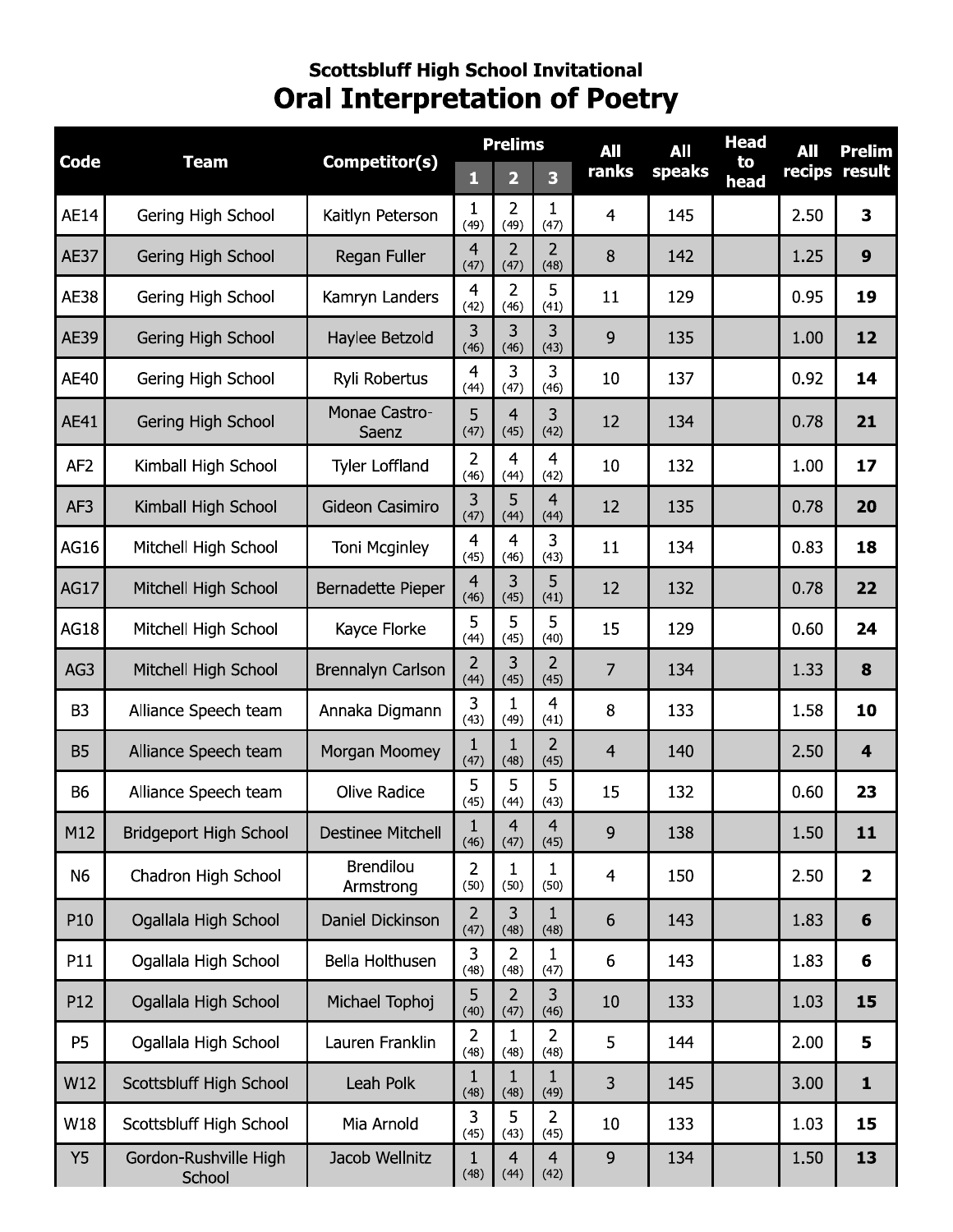#### **Scottsbluff High School Invitational Oral Interpretation of Poetry**

|                 | <b>Team</b>                     |                               | <b>Prelims</b>         |                        |                        | All            | All    | <b>Head</b> | All  | <b>Prelim</b>           |
|-----------------|---------------------------------|-------------------------------|------------------------|------------------------|------------------------|----------------|--------|-------------|------|-------------------------|
| <b>Code</b>     |                                 | Competitor(s)                 | 1                      | $\overline{2}$         | 3                      | ranks          | speaks | to<br>head  |      | recips result           |
| <b>AE14</b>     | Gering High School              | Kaitlyn Peterson              | 1<br>(49)              | 2<br>(49)              | 1<br>(47)              | $\overline{4}$ | 145    |             | 2.50 | 3                       |
| <b>AE37</b>     | Gering High School              | Regan Fuller                  | $\overline{4}$<br>(47) | $\overline{2}$<br>(47) | 2<br>(48)              | 8              | 142    |             | 1.25 | 9                       |
| <b>AE38</b>     | Gering High School              | Kamryn Landers                | $\overline{4}$<br>(42) | $\overline{2}$<br>(46) | 5<br>(41)              | 11             | 129    |             | 0.95 | 19                      |
| <b>AE39</b>     | Gering High School              | Haylee Betzold                | 3<br>(46)              | 3<br>(46)              | 3<br>(43)              | 9              | 135    |             | 1.00 | 12                      |
| <b>AE40</b>     | Gering High School              | Ryli Robertus                 | $\overline{4}$<br>(44) | 3<br>(47)              | 3<br>(46)              | 10             | 137    |             | 0.92 | 14                      |
| AE41            | Gering High School              | Monae Castro-<br>Saenz        | 5<br>(47)              | $\overline{4}$<br>(45) | 3<br>(42)              | 12             | 134    |             | 0.78 | 21                      |
| AF <sub>2</sub> | Kimball High School             | <b>Tyler Loffland</b>         | $\overline{2}$<br>(46) | $\overline{4}$<br>(44) | $\overline{4}$<br>(42) | 10             | 132    |             | 1.00 | 17                      |
| AF3             | Kimball High School             | Gideon Casimiro               | 3<br>(47)              | 5<br>(44)              | $\overline{4}$<br>(44) | 12             | 135    |             | 0.78 | 20                      |
| AG16            | Mitchell High School            | Toni Mcginley                 | $\overline{4}$<br>(45) | $\overline{4}$<br>(46) | 3<br>(43)              | 11             | 134    |             | 0.83 | 18                      |
| <b>AG17</b>     | Mitchell High School            | Bernadette Pieper             | $\overline{4}$<br>(46) | 3<br>(45)              | 5<br>(41)              | 12             | 132    |             | 0.78 | 22                      |
| <b>AG18</b>     | Mitchell High School            | Kayce Florke                  | 5<br>(44)              | 5<br>(45)              | 5<br>(40)              | 15             | 129    |             | 0.60 | 24                      |
| AG3             | Mitchell High School            | <b>Brennalyn Carlson</b>      | $\overline{2}$<br>(44) | 3<br>(45)              | $\overline{2}$<br>(45) | $\overline{7}$ | 134    |             | 1.33 | 8                       |
| B <sub>3</sub>  | Alliance Speech team            | Annaka Digmann                | 3<br>(43)              | 1<br>(49)              | $\overline{4}$<br>(41) | 8              | 133    |             | 1.58 | 10                      |
| <b>B5</b>       | Alliance Speech team            | Morgan Moomey                 | $\mathbf{1}$<br>(47)   | 1<br>(48)              | $\overline{2}$<br>(45) | $\overline{4}$ | 140    |             | 2.50 | $\overline{\mathbf{4}}$ |
| <b>B6</b>       | Alliance Speech team            | Olive Radice                  | 5<br>(45)              | 5<br>(44)              | 5<br>(43)              | 15             | 132    |             | 0.60 | 23                      |
| M12             | <b>Bridgeport High School</b>   | <b>Destinee Mitchell</b>      | $\mathbf{1}$<br>(46)   | $\overline{4}$<br>(47) | $\overline{4}$<br>(45) | 9              | 138    |             | 1.50 | 11                      |
| N6              | Chadron High School             | <b>Brendilou</b><br>Armstrong | $\overline{2}$<br>(50) | 1<br>(50)              | 1<br>(50)              | $\overline{4}$ | 150    |             | 2.50 | $\overline{\mathbf{2}}$ |
| P10             | Ogallala High School            | Daniel Dickinson              | $\overline{2}$<br>(47) | 3<br>(48)              | 1<br>(48)              | 6              | 143    |             | 1.83 | 6                       |
| P11             | Ogallala High School            | Bella Holthusen               | 3<br>(48)              | $\overline{2}$<br>(48) | 1<br>(47)              | 6              | 143    |             | 1.83 | 6                       |
| P12             | Ogallala High School            | Michael Tophoj                | 5<br>(40)              | $\overline{2}$<br>(47) | 3<br>(46)              | 10             | 133    |             | 1.03 | 15                      |
| <b>P5</b>       | Ogallala High School            | Lauren Franklin               | $\overline{2}$<br>(48) | 1<br>(48)              | $\overline{2}$<br>(48) | 5              | 144    |             | 2.00 | 5                       |
| W12             | Scottsbluff High School         | Leah Polk                     | 1<br>(48)              | 1<br>(48)              | 1<br>(49)              | 3              | 145    |             | 3.00 | $\mathbf{1}$            |
| W18             | Scottsbluff High School         | Mia Arnold                    | 3<br>(45)              | 5<br>(43)              | 2<br>(45)              | 10             | 133    |             | 1.03 | 15                      |
| <b>Y5</b>       | Gordon-Rushville High<br>School | Jacob Wellnitz                | $\mathbf{1}$<br>(48)   | $\overline{4}$<br>(44) | $\overline{4}$<br>(42) | 9              | 134    |             | 1.50 | 13                      |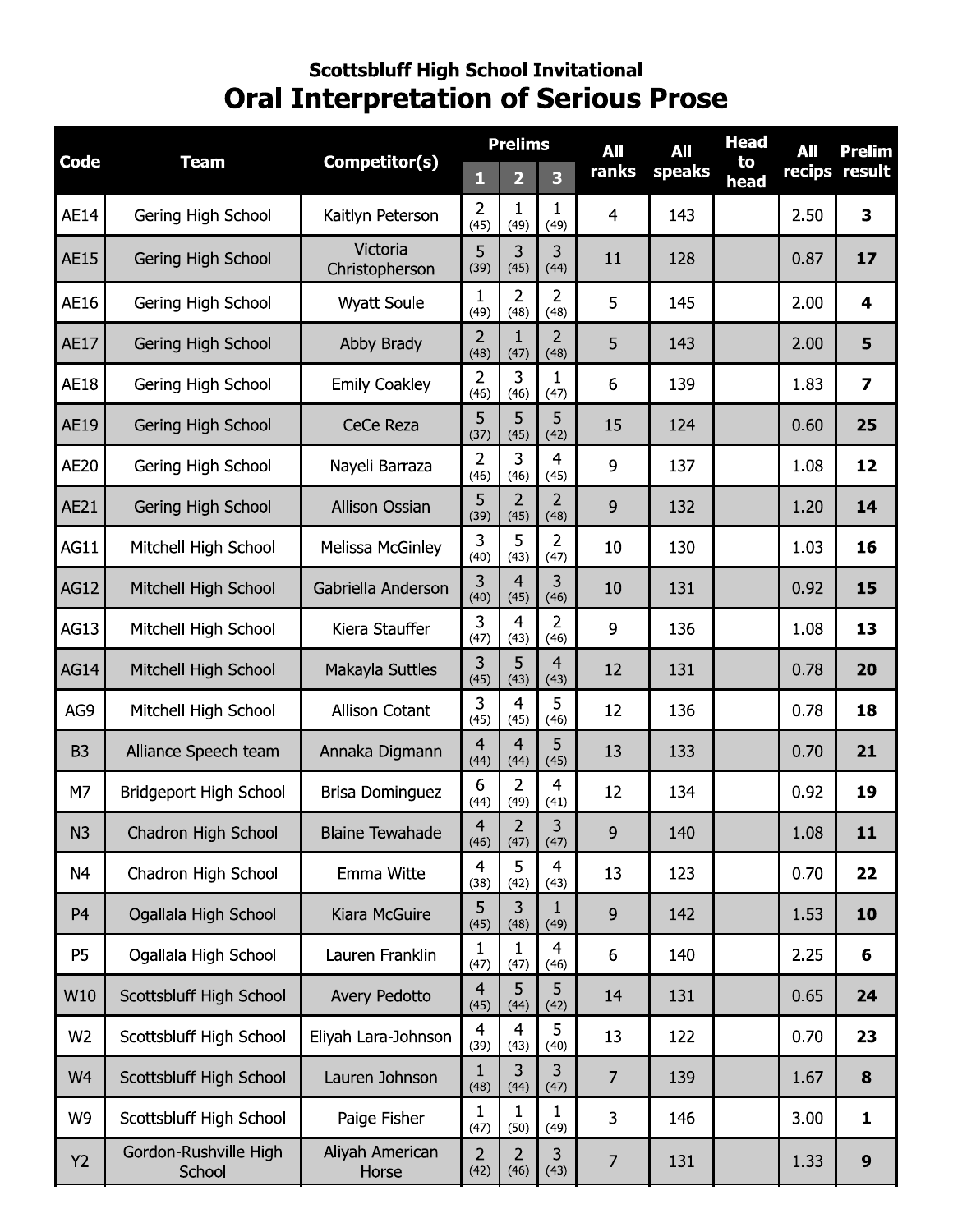# Scottsbluff High School Invitational<br>Oral Interpretation of Serious Prose

|                | <b>Team</b>                     |                            | <b>Prelims</b>         |                         |                        | <b>All</b>     | All    | <b>Head</b> | All  | Prelim           |
|----------------|---------------------------------|----------------------------|------------------------|-------------------------|------------------------|----------------|--------|-------------|------|------------------|
| <b>Code</b>    |                                 | Competitor(s)              | 1                      | $\overline{\mathbf{2}}$ | 3                      | ranks          | speaks | to<br>head  |      | recips result    |
| <b>AE14</b>    | Gering High School              | Kaitlyn Peterson           | 2<br>(45)              | 1<br>(49)               | 1<br>(49)              | $\overline{4}$ | 143    |             | 2.50 | 3                |
| <b>AE15</b>    | Gering High School              | Victoria<br>Christopherson | 5<br>(39)              | 3<br>(45)               | 3<br>(44)              | 11             | 128    |             | 0.87 | 17               |
| AE16           | Gering High School              | <b>Wyatt Soule</b>         | 1<br>(49)              | 2<br>(48)               | $\overline{2}$<br>(48) | 5              | 145    |             | 2.00 | 4                |
| <b>AE17</b>    | Gering High School              | Abby Brady                 | $\overline{2}$<br>(48) | $\mathbf{1}$<br>(47)    | $\overline{2}$<br>(48) | 5              | 143    |             | 2.00 | 5                |
| <b>AE18</b>    | Gering High School              | <b>Emily Coakley</b>       | 2<br>(46)              | 3<br>(46)               | 1<br>(47)              | 6              | 139    |             | 1.83 | 7                |
| AE19           | Gering High School              | CeCe Reza                  | 5<br>(37)              | 5<br>(45)               | 5<br>(42)              | 15             | 124    |             | 0.60 | 25               |
| <b>AE20</b>    | Gering High School              | Nayeli Barraza             | $\overline{2}$<br>(46) | 3<br>(46)               | 4<br>(45)              | 9              | 137    |             | 1.08 | 12               |
| AE21           | Gering High School              | <b>Allison Ossian</b>      | 5<br>(39)              | 2<br>(45)               | $\overline{2}$<br>(48) | 9              | 132    |             | 1.20 | 14               |
| <b>AG11</b>    | Mitchell High School            | Melissa McGinley           | 3<br>(40)              | 5<br>(43)               | $\overline{2}$<br>(47) | 10             | 130    |             | 1.03 | 16               |
| <b>AG12</b>    | Mitchell High School            | Gabriella Anderson         | 3<br>(40)              | $\overline{4}$<br>(45)  | 3<br>(46)              | 10             | 131    |             | 0.92 | 15               |
| AG13           | Mitchell High School            | Kiera Stauffer             | 3<br>(47)              | $\overline{4}$<br>(43)  | $\overline{2}$<br>(46) | 9              | 136    |             | 1.08 | 13               |
| <b>AG14</b>    | Mitchell High School            | Makayla Suttles            | 3<br>(45)              | 5<br>(43)               | $\overline{4}$<br>(43) | 12             | 131    |             | 0.78 | 20               |
| AG9            | Mitchell High School            | Allison Cotant             | 3<br>(45)              | $\overline{4}$<br>(45)  | 5<br>(46)              | 12             | 136    |             | 0.78 | 18               |
| B <sub>3</sub> | Alliance Speech team            | Annaka Digmann             | $\overline{4}$<br>(44) | $\overline{4}$<br>(44)  | 5<br>(45)              | 13             | 133    |             | 0.70 | 21               |
| M7             | Bridgeport High School          | <b>Brisa Dominguez</b>     | 6<br>(44)              | $\overline{2}$<br>(49)  | $\overline{4}$<br>(41) | 12             | 134    |             | 0.92 | 19               |
| N3             | Chadron High School             | <b>Blaine Tewahade</b>     | $\overline{4}$<br>(46) | $\overline{2}$<br>(47)  | 3<br>(47)              | 9              | 140    |             | 1.08 | 11               |
| N <sub>4</sub> | Chadron High School             | Emma Witte                 | 4<br>(38)              | 5<br>(42)               | 4<br>(43)              | 13             | 123    |             | 0.70 | 22               |
| P <sub>4</sub> | Ogallala High School            | Kiara McGuire              | 5<br>(45)              | 3<br>(48)               | 1<br>(49)              | 9              | 142    |             | 1.53 | 10               |
| <b>P5</b>      | Ogallala High School            | Lauren Franklin            | 1<br>(47)              | 1<br>(47)               | 4<br>(46)              | 6              | 140    |             | 2.25 | 6                |
| W10            | Scottsbluff High School         | Avery Pedotto              | $\overline{4}$<br>(45) | 5<br>(44)               | 5<br>(42)              | 14             | 131    |             | 0.65 | 24               |
| W <sub>2</sub> | Scottsbluff High School         | Eliyah Lara-Johnson        | $\overline{4}$<br>(39) | $\overline{4}$<br>(43)  | 5<br>(40)              | 13             | 122    |             | 0.70 | 23               |
| W4             | Scottsbluff High School         | Lauren Johnson             | $\mathbf{1}$<br>(48)   | 3<br>(44)               | 3<br>(47)              | $\overline{7}$ | 139    |             | 1.67 | 8                |
| W9             | Scottsbluff High School         | Paige Fisher               | 1<br>(47)              | $\mathbf{1}$<br>(50)    | 1<br>(49)              | 3              | 146    |             | 3.00 | 1                |
| Y2             | Gordon-Rushville High<br>School | Aliyah American<br>Horse   | 2<br>(42)              | 2<br>(46)               | 3<br>(43)              | $\overline{7}$ | 131    |             | 1.33 | $\boldsymbol{9}$ |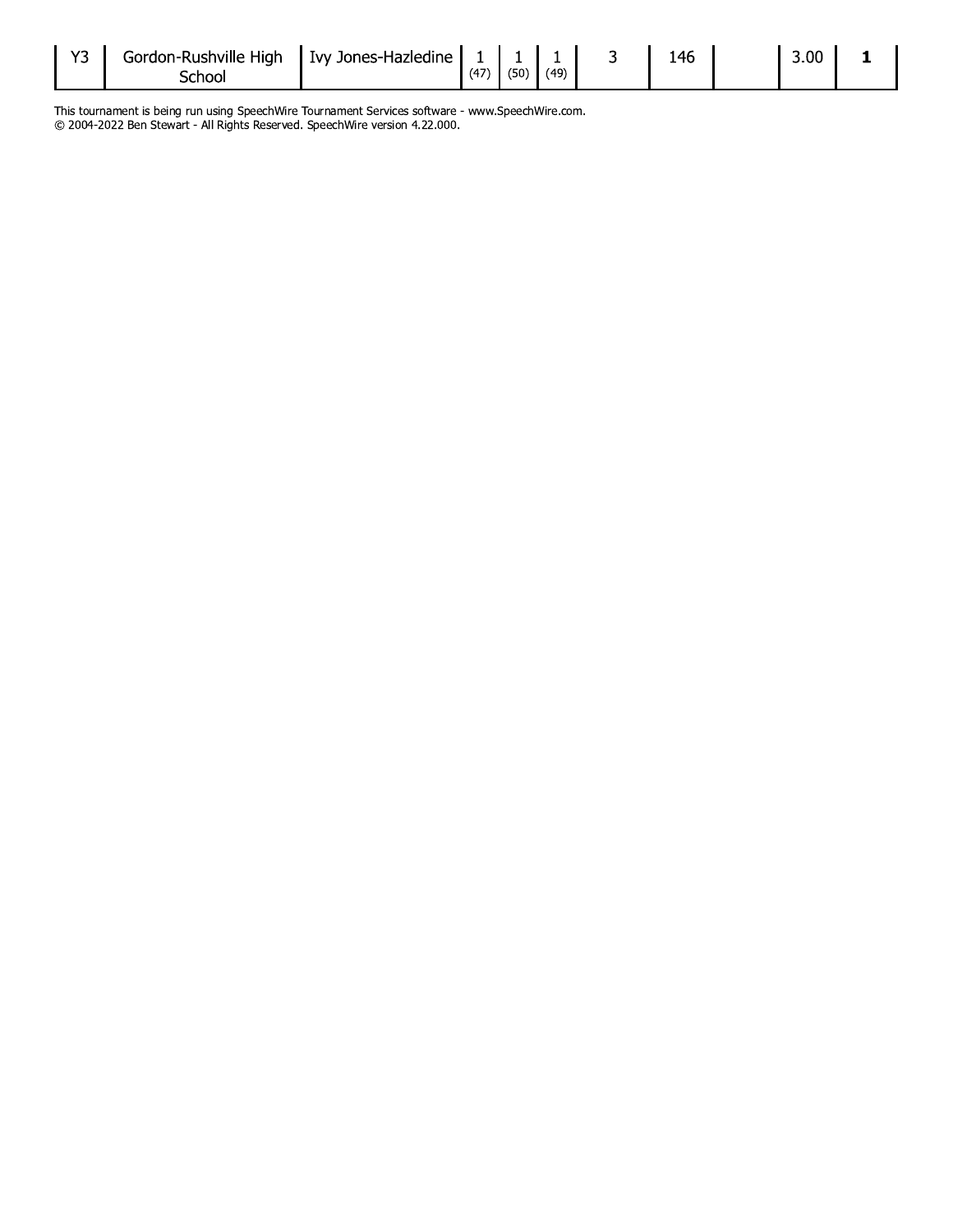| いつ | Gordon-Rushville High | I Ivy Jones-Hazledine |      |      |      | 146 | 3.00 <sub>1</sub> |  |
|----|-----------------------|-----------------------|------|------|------|-----|-------------------|--|
|    |                       |                       | (47) | (50) | (49) |     |                   |  |